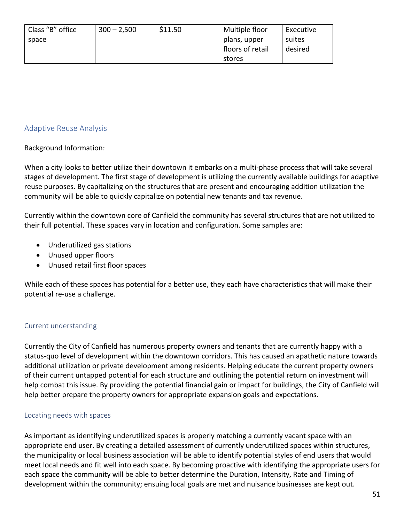| Class "B" office | $300 - 2,500$ | \$11.50 | Multiple floor   | Executive |
|------------------|---------------|---------|------------------|-----------|
| space            |               |         | plans, upper     | suites    |
|                  |               |         | floors of retail | desired   |
|                  |               |         | stores           |           |

## Adaptive Reuse Analysis

Background Information:

When a city looks to better utilize their downtown it embarks on a multi-phase process that will take several stages of development. The first stage of development is utilizing the currently available buildings for adaptive reuse purposes. By capitalizing on the structures that are present and encouraging addition utilization the community will be able to quickly capitalize on potential new tenants and tax revenue.

Currently within the downtown core of Canfield the community has several structures that are not utilized to their full potential. These spaces vary in location and configuration. Some samples are:

- Underutilized gas stations
- Unused upper floors
- Unused retail first floor spaces

While each of these spaces has potential for a better use, they each have characteristics that will make their potential re-use a challenge.

## Current understanding

Currently the City of Canfield has numerous property owners and tenants that are currently happy with a status-quo level of development within the downtown corridors. This has caused an apathetic nature towards additional utilization or private development among residents. Helping educate the current property owners of their current untapped potential for each structure and outlining the potential return on investment will help combat this issue. By providing the potential financial gain or impact for buildings, the City of Canfield will help better prepare the property owners for appropriate expansion goals and expectations.

## Locating needs with spaces

As important as identifying underutilized spaces is properly matching a currently vacant space with an appropriate end user. By creating a detailed assessment of currently underutilized spaces within structures, the municipality or local business association will be able to identify potential styles of end users that would meet local needs and fit well into each space. By becoming proactive with identifying the appropriate users for each space the community will be able to better determine the Duration, Intensity, Rate and Timing of development within the community; ensuing local goals are met and nuisance businesses are kept out.